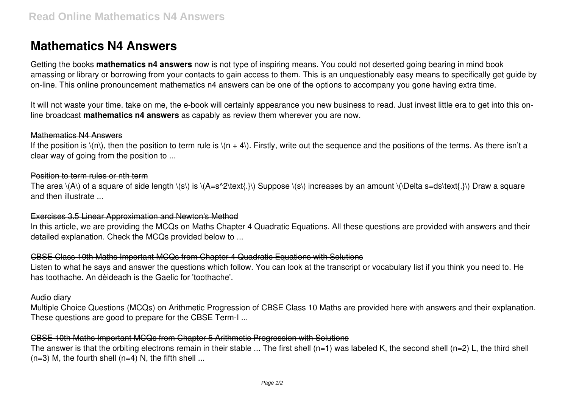# **Mathematics N4 Answers**

Getting the books **mathematics n4 answers** now is not type of inspiring means. You could not deserted going bearing in mind book amassing or library or borrowing from your contacts to gain access to them. This is an unquestionably easy means to specifically get guide by on-line. This online pronouncement mathematics n4 answers can be one of the options to accompany you gone having extra time.

It will not waste your time. take on me, the e-book will certainly appearance you new business to read. Just invest little era to get into this online broadcast **mathematics n4 answers** as capably as review them wherever you are now.

#### Mathematics N4 Answers

If the position is  $\langle n \rangle$ , then the position to term rule is  $\langle (n + 4) \rangle$ . Firstly, write out the sequence and the positions of the terms. As there isn't a clear way of going from the position to ...

### Position to term rules or nth term

The area  $\langle A \rangle$  of a square of side length  $\langle s \rangle$  is  $\langle A=s^2\text{text.}\rangle$  Suppose  $\langle s \rangle$  increases by an amount  $\langle B \rangle$  Delta s=ds $\langle s \rangle$  Draw a square and then illustrate ...

## Exercises 3.5 Linear Approximation and Newton's Method

In this article, we are providing the MCQs on Maths Chapter 4 Quadratic Equations. All these questions are provided with answers and their detailed explanation. Check the MCQs provided below to ...

## CBSE Class 10th Maths Important MCQs from Chapter 4 Quadratic Equations with Solutions

Listen to what he says and answer the questions which follow. You can look at the transcript or vocabulary list if you think you need to. He has toothache. An dèideadh is the Gaelic for 'toothache'.

## Audio diary

Multiple Choice Questions (MCQs) on Arithmetic Progression of CBSE Class 10 Maths are provided here with answers and their explanation. These questions are good to prepare for the CBSE Term-I ...

# CBSE 10th Maths Important MCQs from Chapter 5 Arithmetic Progression with Solutions

The answer is that the orbiting electrons remain in their stable ... The first shell (n=1) was labeled K, the second shell (n=2) L, the third shell  $(n=3)$  M, the fourth shell  $(n=4)$  N, the fifth shell ...